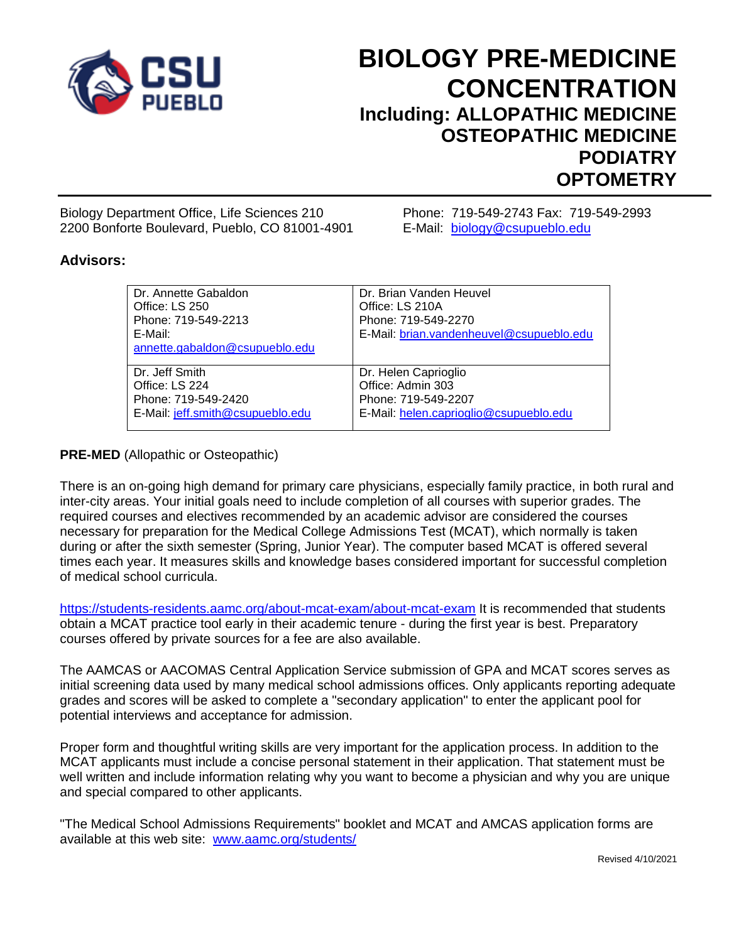

# **BIOLOGY PRE-MEDICINE CONCENTRATION Including: ALLOPATHIC MEDICINE OSTEOPATHIC MEDICINE PODIATRY OPTOMETRY**

Biology Department Office, Life Sciences 210 Phone: 719-549-2743 Fax: 719-549-2993 2200 Bonforte Boulevard, Pueblo, CO 81001-4901 E-Mail: [biology@csupueblo.edu](mailto:biology@csupueblo.edu)

## **Advisors:**

| Dr. Annette Gabaldon<br>Office: LS 250<br>Phone: 719-549-2213<br>E-Mail:<br>annette.gabaldon@csupueblo.edu | Dr. Brian Vanden Heuvel<br>Office: LS 210A<br>Phone: 719-549-2270<br>E-Mail: brian.vandenheuvel@csupueblo.edu |
|------------------------------------------------------------------------------------------------------------|---------------------------------------------------------------------------------------------------------------|
| Dr. Jeff Smith                                                                                             | Dr. Helen Caprioglio                                                                                          |
| Office: LS 224                                                                                             | Office: Admin 303                                                                                             |
| Phone: 719-549-2420                                                                                        | Phone: 719-549-2207                                                                                           |
| E-Mail: jeff.smith@csupueblo.edu                                                                           | E-Mail: helen.caprioglio@csupueblo.edu                                                                        |

### **PRE-MED** (Allopathic or Osteopathic)

There is an on-going high demand for primary care physicians, especially family practice, in both rural and inter-city areas. Your initial goals need to include completion of all courses with superior grades. The required courses and electives recommended by an academic advisor are considered the courses necessary for preparation for the Medical College Admissions Test (MCAT), which normally is taken during or after the sixth semester (Spring, Junior Year). The computer based MCAT is offered several times each year. It measures skills and knowledge bases considered important for successful completion of medical school curricula.

<https://students-residents.aamc.org/about-mcat-exam/about-mcat-exam> It is recommended that students obtain a MCAT practice tool early in their academic tenure - during the first year is best. Preparatory courses offered by private sources for a fee are also available.

The AAMCAS or AACOMAS Central Application Service submission of GPA and MCAT scores serves as initial screening data used by many medical school admissions offices. Only applicants reporting adequate grades and scores will be asked to complete a "secondary application" to enter the applicant pool for potential interviews and acceptance for admission.

Proper form and thoughtful writing skills are very important for the application process. In addition to the MCAT applicants must include a concise personal statement in their application. That statement must be well written and include information relating why you want to become a physician and why you are unique and special compared to other applicants.

"The Medical School Admissions Requirements" booklet and MCAT and AMCAS application forms are available at this web site: [www.aamc.org/students/](http://www.aamc.org/students/)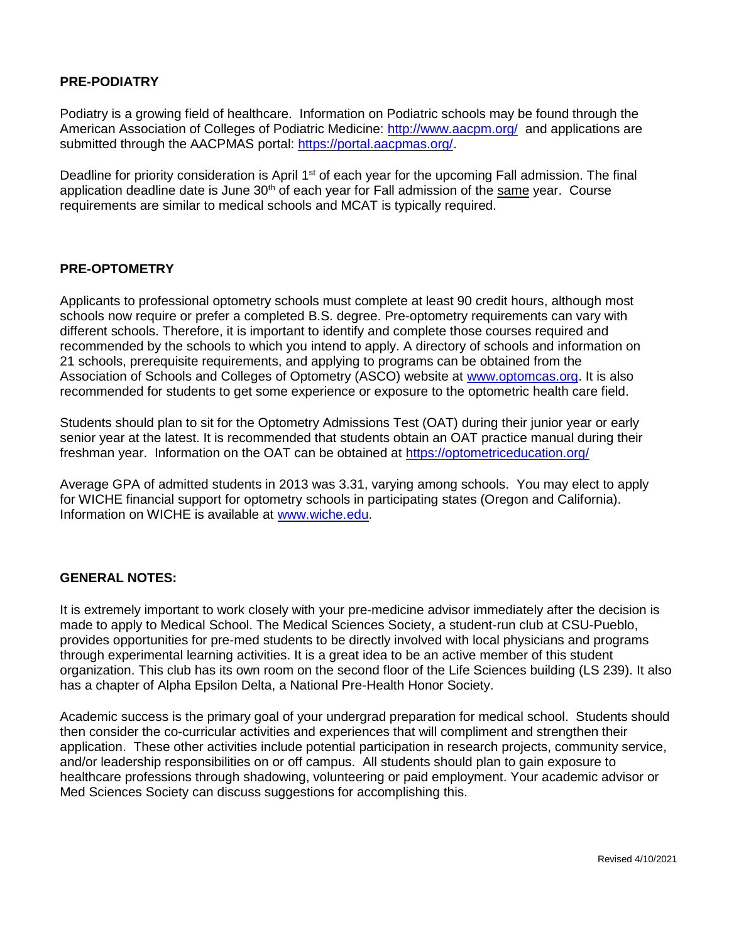### **PRE-PODIATRY**

Podiatry is a growing field of healthcare. Information on Podiatric schools may be found through the American Association of Colleges of Podiatric Medicine:<http://www.aacpm.org/>and applications are submitted through the AACPMAS portal: [https://portal.aacpmas.org/.](https://portal.aacpmas.org/)

Deadline for priority consideration is April 1<sup>st</sup> of each year for the upcoming Fall admission. The final application deadline date is June  $30<sup>th</sup>$  of each year for Fall admission of the same year. Course requirements are similar to medical schools and MCAT is typically required.

### **PRE-OPTOMETRY**

Applicants to professional optometry schools must complete at least 90 credit hours, although most schools now require or prefer a completed B.S. degree. Pre-optometry requirements can vary with different schools. Therefore, it is important to identify and complete those courses required and recommended by the schools to which you intend to apply. A directory of schools and information on 21 schools, prerequisite requirements, and applying to programs can be obtained from the Association of Schools and Colleges of Optometry (ASCO) website at [www.optomcas.org.](http://www.optomcas.org/) It is also recommended for students to get some experience or exposure to the optometric health care field.

Students should plan to sit for the Optometry Admissions Test (OAT) during their junior year or early senior year at the latest. It is recommended that students obtain an OAT practice manual during their freshman year. Information on the OAT can be obtained at<https://optometriceducation.org/>

Average GPA of admitted students in 2013 was 3.31, varying among schools. You may elect to apply for WICHE financial support for optometry schools in participating states (Oregon and California). Information on WICHE is available at [www.wiche.edu.](http://www.wiche.edu/)

#### **GENERAL NOTES:**

It is extremely important to work closely with your pre-medicine advisor immediately after the decision is made to apply to Medical School. The Medical Sciences Society, a student-run club at CSU-Pueblo, provides opportunities for pre-med students to be directly involved with local physicians and programs through experimental learning activities. It is a great idea to be an active member of this student organization. This club has its own room on the second floor of the Life Sciences building (LS 239). It also has a chapter of Alpha Epsilon Delta, a National Pre-Health Honor Society.

Academic success is the primary goal of your undergrad preparation for medical school. Students should then consider the co-curricular activities and experiences that will compliment and strengthen their application. These other activities include potential participation in research projects, community service, and/or leadership responsibilities on or off campus. All students should plan to gain exposure to healthcare professions through shadowing, volunteering or paid employment. Your academic advisor or Med Sciences Society can discuss suggestions for accomplishing this.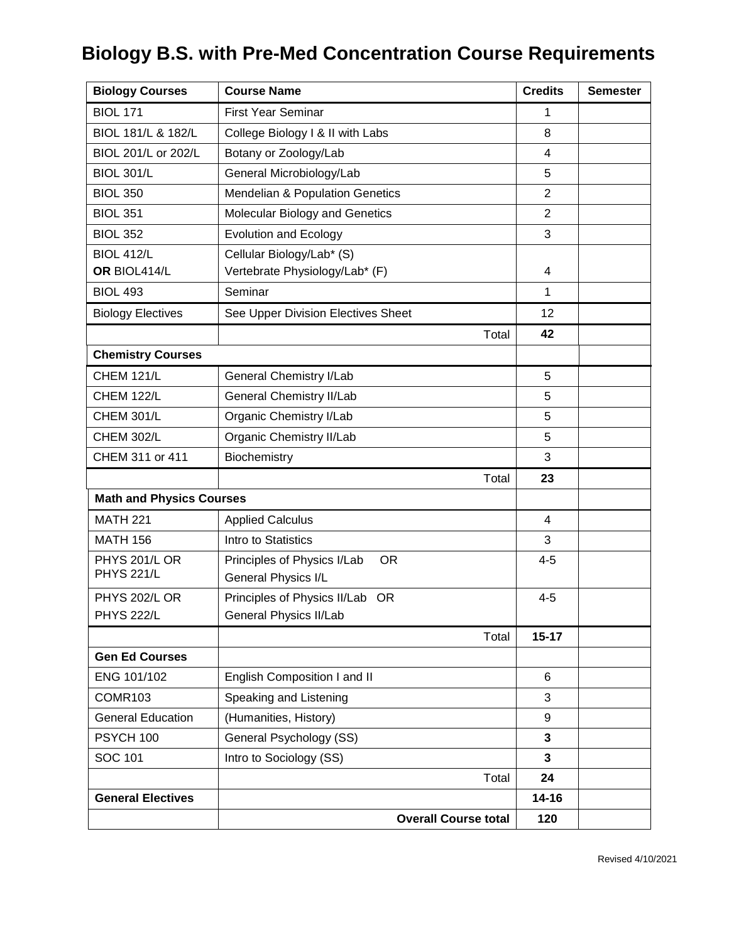# **Biology B.S. with Pre-Med Concentration Course Requirements**

| <b>Biology Courses</b>             | <b>Course Name</b>                         | <b>Credits</b>          | <b>Semester</b> |
|------------------------------------|--------------------------------------------|-------------------------|-----------------|
| <b>BIOL 171</b>                    | <b>First Year Seminar</b>                  | 1                       |                 |
| BIOL 181/L & 182/L                 | College Biology I & II with Labs           | 8                       |                 |
| BIOL 201/L or 202/L                | Botany or Zoology/Lab                      | $\overline{4}$          |                 |
| <b>BIOL 301/L</b>                  | General Microbiology/Lab                   | 5                       |                 |
| <b>BIOL 350</b>                    | <b>Mendelian &amp; Population Genetics</b> | $\overline{2}$          |                 |
| <b>BIOL 351</b>                    | Molecular Biology and Genetics             | $\overline{2}$          |                 |
| <b>BIOL 352</b>                    | <b>Evolution and Ecology</b>               | 3                       |                 |
| <b>BIOL 412/L</b>                  | Cellular Biology/Lab* (S)                  |                         |                 |
| OR BIOL414/L                       | Vertebrate Physiology/Lab* (F)             | 4                       |                 |
| <b>BIOL 493</b>                    | Seminar                                    | 1                       |                 |
| <b>Biology Electives</b>           | See Upper Division Electives Sheet         | 12                      |                 |
|                                    | Total                                      | 42                      |                 |
| <b>Chemistry Courses</b>           |                                            |                         |                 |
| <b>CHEM 121/L</b>                  | General Chemistry I/Lab                    | 5                       |                 |
| <b>CHEM 122/L</b>                  | <b>General Chemistry II/Lab</b>            | 5                       |                 |
| <b>CHEM 301/L</b>                  | Organic Chemistry I/Lab                    | 5                       |                 |
| <b>CHEM 302/L</b>                  | Organic Chemistry II/Lab                   | 5                       |                 |
| CHEM 311 or 411                    | Biochemistry                               | 3                       |                 |
|                                    | Total                                      | 23                      |                 |
| <b>Math and Physics Courses</b>    |                                            |                         |                 |
| <b>MATH 221</b>                    | <b>Applied Calculus</b>                    | $\overline{4}$          |                 |
| <b>MATH 156</b>                    | Intro to Statistics                        | 3                       |                 |
| PHYS 201/L OR<br><b>PHYS 221/L</b> | Principles of Physics I/Lab<br><b>OR</b>   | $4 - 5$                 |                 |
|                                    | General Physics I/L                        |                         |                 |
| PHYS 202/L OR                      | Principles of Physics II/Lab OR            | $4 - 5$                 |                 |
| <b>PHYS 222/L</b>                  | <b>General Physics II/Lab</b>              |                         |                 |
|                                    | Total                                      | $15 - 17$               |                 |
| <b>Gen Ed Courses</b>              |                                            |                         |                 |
| ENG 101/102                        | English Composition I and II               | 6                       |                 |
| COMR103                            | Speaking and Listening                     | 3                       |                 |
| <b>General Education</b>           | (Humanities, History)                      | 9                       |                 |
| PSYCH 100                          | General Psychology (SS)                    | $\overline{\mathbf{3}}$ |                 |
| SOC 101                            | Intro to Sociology (SS)                    | $\mathbf{3}$            |                 |
|                                    | Total                                      | 24                      |                 |
| <b>General Electives</b>           |                                            | $14 - 16$               |                 |
|                                    | <b>Overall Course total</b>                | 120                     |                 |